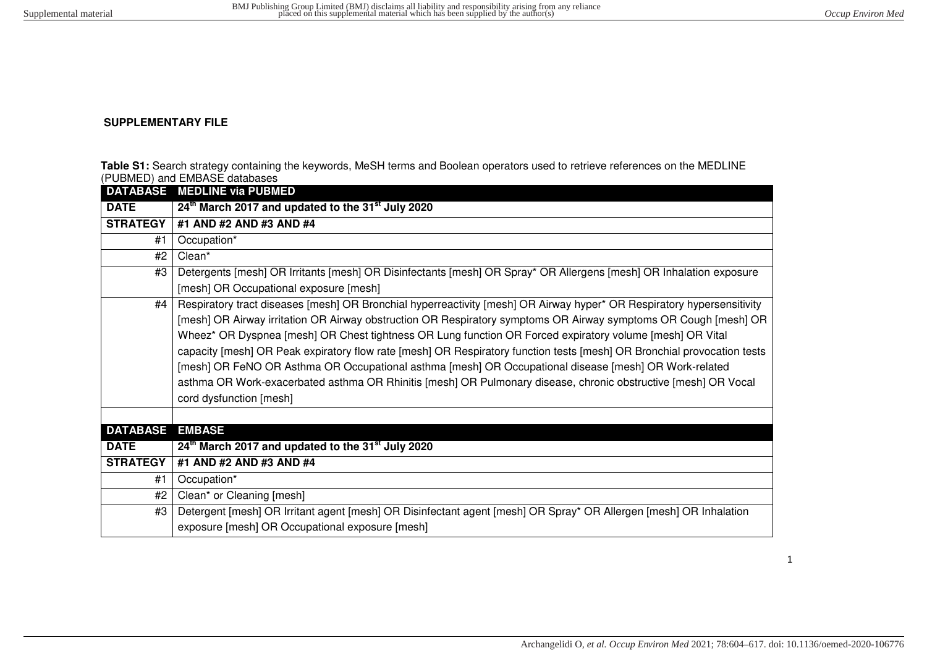## **SUPPLEMENTARY FILE**

**Table S1:** Search strategy containing the keywords, MeSH terms and Boolean operators used to retrieve references on the MEDLINE (PUBMED) and EMBASE databases

|                 | DATABASE MEDLINE via PUBMED                                                                                             |
|-----------------|-------------------------------------------------------------------------------------------------------------------------|
| <b>DATE</b>     | 24 <sup>th</sup> March 2017 and updated to the 31 <sup>st</sup> July 2020                                               |
| <b>STRATEGY</b> | #1 AND #2 AND #3 AND #4                                                                                                 |
| #1              | Occupation*                                                                                                             |
| #2              | Clean*                                                                                                                  |
| #3              | Detergents [mesh] OR Irritants [mesh] OR Disinfectants [mesh] OR Spray* OR Allergens [mesh] OR Inhalation exposure      |
|                 | [mesh] OR Occupational exposure [mesh]                                                                                  |
| #4              | Respiratory tract diseases [mesh] OR Bronchial hyperreactivity [mesh] OR Airway hyper* OR Respiratory hypersensitivity  |
|                 | [mesh] OR Airway irritation OR Airway obstruction OR Respiratory symptoms OR Airway symptoms OR Cough [mesh] OR         |
|                 | Wheez* OR Dyspnea [mesh] OR Chest tightness OR Lung function OR Forced expiratory volume [mesh] OR Vital                |
|                 | capacity [mesh] OR Peak expiratory flow rate [mesh] OR Respiratory function tests [mesh] OR Bronchial provocation tests |
|                 | [mesh] OR FeNO OR Asthma OR Occupational asthma [mesh] OR Occupational disease [mesh] OR Work-related                   |
|                 | asthma OR Work-exacerbated asthma OR Rhinitis [mesh] OR Pulmonary disease, chronic obstructive [mesh] OR Vocal          |
|                 | cord dysfunction [mesh]                                                                                                 |
|                 |                                                                                                                         |
| <b>DATABASE</b> | <b>EMBASE</b>                                                                                                           |
| <b>DATE</b>     | 24 <sup>th</sup> March 2017 and updated to the 31 <sup>st</sup> July 2020                                               |
| <b>STRATEGY</b> | #1 AND #2 AND #3 AND #4                                                                                                 |
| #1              | Occupation*                                                                                                             |
| #2              | Clean* or Cleaning [mesh]                                                                                               |
| #3              | Detergent [mesh] OR Irritant agent [mesh] OR Disinfectant agent [mesh] OR Spray* OR Allergen [mesh] OR Inhalation       |
|                 | exposure [mesh] OR Occupational exposure [mesh]                                                                         |

1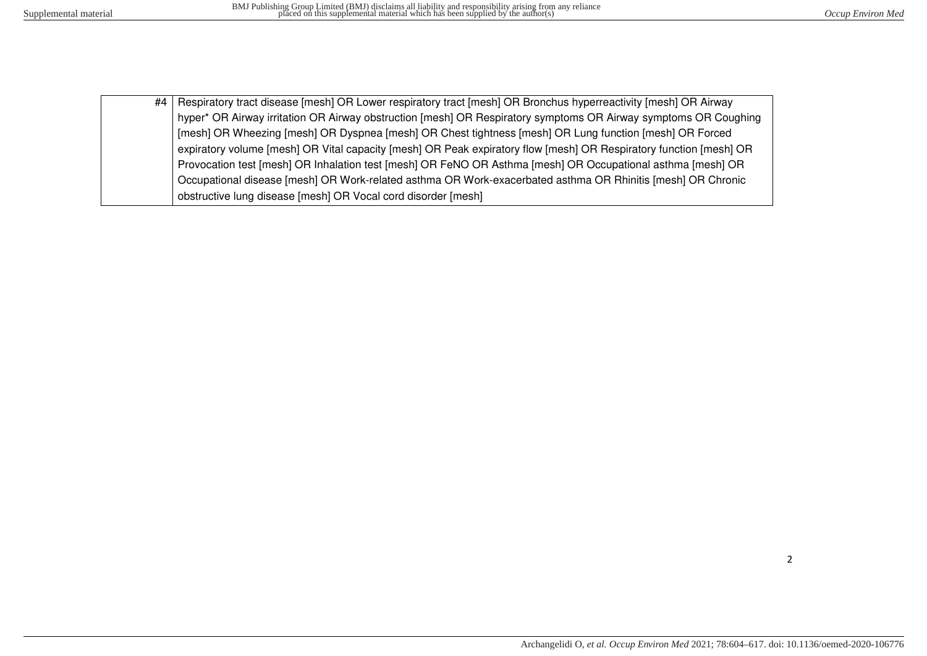| #4 I | Respiratory tract disease [mesh] OR Lower respiratory tract [mesh] OR Bronchus hyperreactivity [mesh] OR Airway    |
|------|--------------------------------------------------------------------------------------------------------------------|
|      | hyper* OR Airway irritation OR Airway obstruction [mesh] OR Respiratory symptoms OR Airway symptoms OR Coughing    |
|      | [mesh] OR Wheezing [mesh] OR Dyspnea [mesh] OR Chest tightness [mesh] OR Lung function [mesh] OR Forced            |
|      | expiratory volume [mesh] OR Vital capacity [mesh] OR Peak expiratory flow [mesh] OR Respiratory function [mesh] OR |
|      | Provocation test [mesh] OR Inhalation test [mesh] OR FeNO OR Asthma [mesh] OR Occupational asthma [mesh] OR        |
|      | Occupational disease [mesh] OR Work-related asthma OR Work-exacerbated asthma OR Rhinitis [mesh] OR Chronic        |
|      | obstructive lung disease [mesh] OR Vocal cord disorder [mesh]                                                      |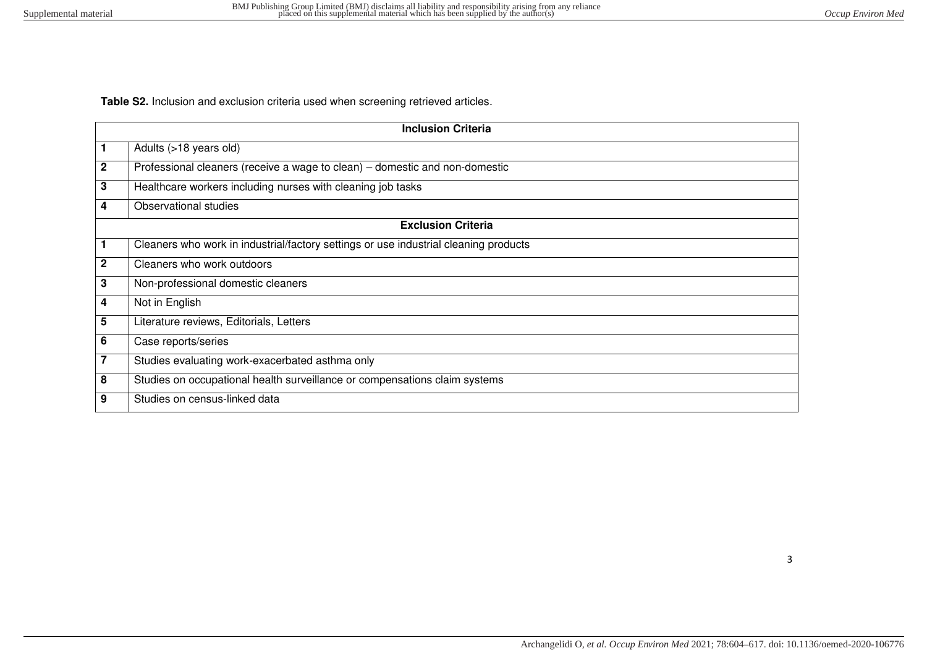**Table S2.** Inclusion and exclusion criteria used when screening retrieved articles.

|              | <b>Inclusion Criteria</b>                                                            |  |  |  |  |  |  |  |  |
|--------------|--------------------------------------------------------------------------------------|--|--|--|--|--|--|--|--|
|              | Adults (>18 years old)                                                               |  |  |  |  |  |  |  |  |
| $\mathbf 2$  | Professional cleaners (receive a wage to clean) – domestic and non-domestic          |  |  |  |  |  |  |  |  |
| 3            | Healthcare workers including nurses with cleaning job tasks                          |  |  |  |  |  |  |  |  |
| 4            | Observational studies                                                                |  |  |  |  |  |  |  |  |
|              | <b>Exclusion Criteria</b>                                                            |  |  |  |  |  |  |  |  |
| П            | Cleaners who work in industrial/factory settings or use industrial cleaning products |  |  |  |  |  |  |  |  |
| $\mathbf{2}$ | Cleaners who work outdoors                                                           |  |  |  |  |  |  |  |  |
| 3            | Non-professional domestic cleaners                                                   |  |  |  |  |  |  |  |  |
| 4            | Not in English                                                                       |  |  |  |  |  |  |  |  |
| 5            | Literature reviews, Editorials, Letters                                              |  |  |  |  |  |  |  |  |
| 6            | Case reports/series                                                                  |  |  |  |  |  |  |  |  |
| 7            | Studies evaluating work-exacerbated asthma only                                      |  |  |  |  |  |  |  |  |
| 8            | Studies on occupational health surveillance or compensations claim systems           |  |  |  |  |  |  |  |  |
| 9            | Studies on census-linked data                                                        |  |  |  |  |  |  |  |  |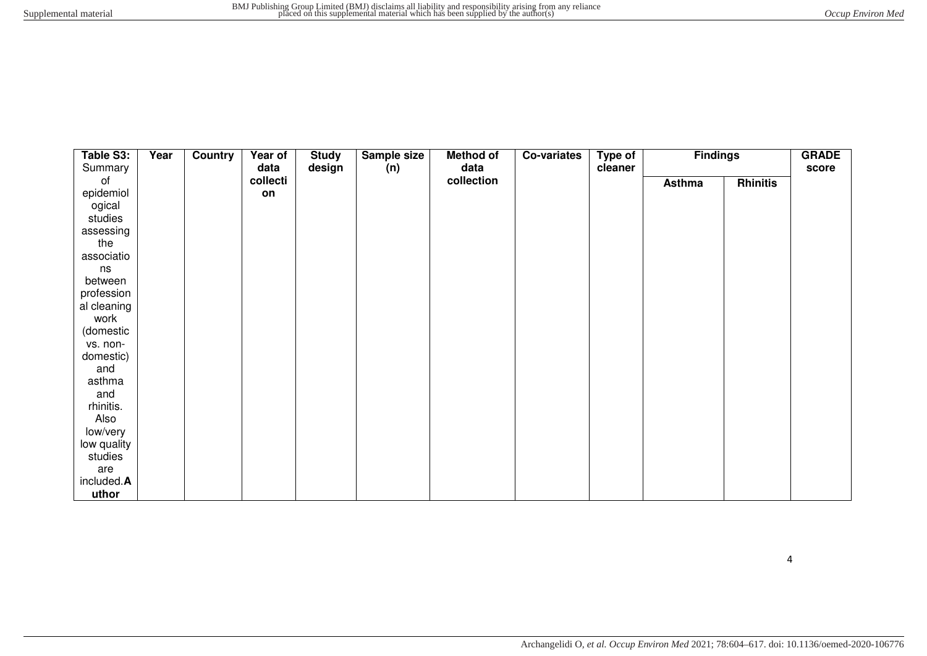| Table S3:          | Year | <b>Country</b> | <b>Year of</b> | <b>Study</b> | Sample size | Method of  | <b>Co-variates</b> | Type of | <b>Findings</b> |                 | <b>GRADE</b> |
|--------------------|------|----------------|----------------|--------------|-------------|------------|--------------------|---------|-----------------|-----------------|--------------|
| Summary            |      |                | data           | design       | (n)         | data       |                    | cleaner |                 |                 | score        |
| of                 |      |                | collecti       |              |             | collection |                    |         | Asthma          | <b>Rhinitis</b> |              |
| epidemiol          |      |                | on             |              |             |            |                    |         |                 |                 |              |
| ogical             |      |                |                |              |             |            |                    |         |                 |                 |              |
| studies            |      |                |                |              |             |            |                    |         |                 |                 |              |
| assessing          |      |                |                |              |             |            |                    |         |                 |                 |              |
| the                |      |                |                |              |             |            |                    |         |                 |                 |              |
| associatio         |      |                |                |              |             |            |                    |         |                 |                 |              |
| ns                 |      |                |                |              |             |            |                    |         |                 |                 |              |
| between            |      |                |                |              |             |            |                    |         |                 |                 |              |
| profession         |      |                |                |              |             |            |                    |         |                 |                 |              |
| al cleaning        |      |                |                |              |             |            |                    |         |                 |                 |              |
| work               |      |                |                |              |             |            |                    |         |                 |                 |              |
| (domestic          |      |                |                |              |             |            |                    |         |                 |                 |              |
| vs. non-           |      |                |                |              |             |            |                    |         |                 |                 |              |
| domestic)          |      |                |                |              |             |            |                    |         |                 |                 |              |
| and                |      |                |                |              |             |            |                    |         |                 |                 |              |
| asthma             |      |                |                |              |             |            |                    |         |                 |                 |              |
| and                |      |                |                |              |             |            |                    |         |                 |                 |              |
| rhinitis.          |      |                |                |              |             |            |                    |         |                 |                 |              |
| Also               |      |                |                |              |             |            |                    |         |                 |                 |              |
| low/very           |      |                |                |              |             |            |                    |         |                 |                 |              |
| low quality        |      |                |                |              |             |            |                    |         |                 |                 |              |
| studies            |      |                |                |              |             |            |                    |         |                 |                 |              |
| are                |      |                |                |              |             |            |                    |         |                 |                 |              |
| included. <b>A</b> |      |                |                |              |             |            |                    |         |                 |                 |              |
| uthor              |      |                |                |              |             |            |                    |         |                 |                 |              |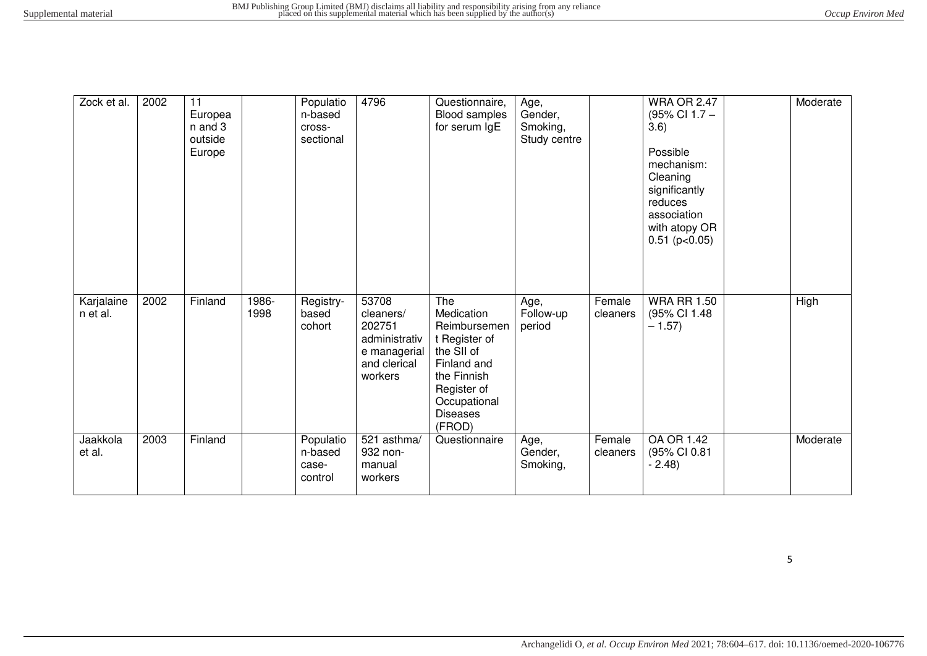| Zock et al.            | 2002 | 11<br>Europea<br>n and 3<br>outside<br>Europe |               | Populatio<br>n-based<br>cross-<br>sectional | 4796                                                                                     | Questionnaire,<br><b>Blood samples</b><br>for serum IgE                                                                                                    | Age,<br>Gender,<br>Smoking,<br>Study centre |                    | <b>WRA OR 2.47</b><br>(95% CI 1.7 -<br>3.6)<br>Possible<br>mechanism:<br>Cleaning<br>significantly<br>reduces<br>association<br>with atopy OR<br>$0.51$ (p<0.05) | Moderate |
|------------------------|------|-----------------------------------------------|---------------|---------------------------------------------|------------------------------------------------------------------------------------------|------------------------------------------------------------------------------------------------------------------------------------------------------------|---------------------------------------------|--------------------|------------------------------------------------------------------------------------------------------------------------------------------------------------------|----------|
| Karjalaine<br>n et al. | 2002 | Finland                                       | 1986-<br>1998 | Registry-<br>based<br>cohort                | 53708<br>cleaners/<br>202751<br>administrativ<br>e managerial<br>and clerical<br>workers | The<br>Medication<br>Reimbursemen<br>t Register of<br>the SII of<br>Finland and<br>the Finnish<br>Register of<br>Occupational<br><b>Diseases</b><br>(FROD) | Age,<br>Follow-up<br>period                 | Female<br>cleaners | <b>WRA RR 1.50</b><br>(95% CI 1.48)<br>$-1.57$                                                                                                                   | High     |
| Jaakkola<br>et al.     | 2003 | Finland                                       |               | Populatio<br>n-based<br>case-<br>control    | 521 asthma/<br>932 non-<br>manual<br>workers                                             | Questionnaire                                                                                                                                              | Age,<br>Gender,<br>Smoking,                 | Female<br>cleaners | <b>OA OR 1.42</b><br>(95% CI 0.81<br>$-2.48$                                                                                                                     | Moderate |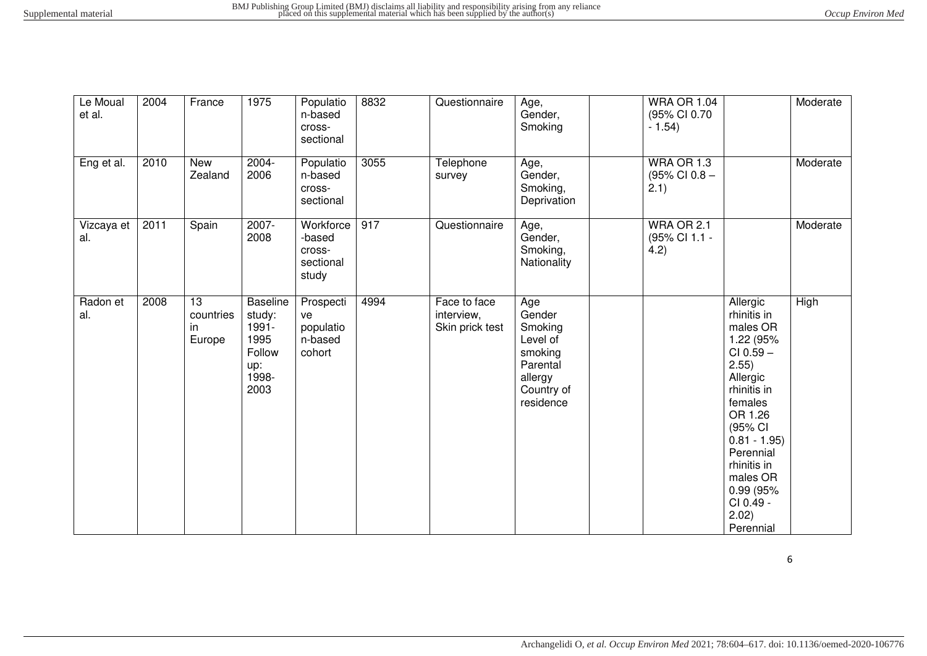| Le Moual<br>et al. | $200\overline{4}$ | France                                        | 1975                                                                         | Populatio<br>n-based<br>cross-<br>sectional         | 8832 | Questionnaire                                 | Age,<br>Gender,<br>Smoking                                                                        | <b>WRA OR 1.04</b><br>(95% CI 0.70<br>$-1.54$ |                                                                                                                                                                                                                                               | Moderate    |
|--------------------|-------------------|-----------------------------------------------|------------------------------------------------------------------------------|-----------------------------------------------------|------|-----------------------------------------------|---------------------------------------------------------------------------------------------------|-----------------------------------------------|-----------------------------------------------------------------------------------------------------------------------------------------------------------------------------------------------------------------------------------------------|-------------|
| Eng et al.         | 2010              | <b>New</b><br>Zealand                         | 2004-<br>2006                                                                | Populatio<br>n-based<br>cross-<br>sectional         | 3055 | Telephone<br>survey                           | Age,<br>Gender,<br>Smoking,<br>Deprivation                                                        | WRA OR 1.3<br>(95% CI 0.8 -<br>2.1)           |                                                                                                                                                                                                                                               | Moderate    |
| Vizcaya et<br>al.  | 2011              | Spain                                         | $2007 -$<br>2008                                                             | Workforce<br>-based<br>cross-<br>sectional<br>study | 917  | Questionnaire                                 | Age,<br>Gender,<br>Smoking,<br>Nationality                                                        | WRA OR 2.1<br>(95% CI 1.1 -<br>4.2)           |                                                                                                                                                                                                                                               | Moderate    |
| Radon et<br>al.    | 2008              | $\overline{13}$<br>countries<br>in.<br>Europe | <b>Baseline</b><br>study:<br>1991-<br>1995<br>Follow<br>up:<br>1998-<br>2003 | Prospecti<br>ve<br>populatio<br>n-based<br>cohort   | 4994 | Face to face<br>interview,<br>Skin prick test | Age<br>Gender<br>Smoking<br>Level of<br>smoking<br>Parental<br>allergy<br>Country of<br>residence |                                               | Allergic<br>rhinitis in<br>males OR<br>1.22 (95%<br>$CI 0.59 -$<br>2.55)<br>Allergic<br>rhinitis in<br>females<br>OR 1.26<br>(95% CI<br>$0.81 - 1.95$<br>Perennial<br>rhinitis in<br>males OR<br>0.99 (95%<br>CI 0.49 -<br>2.02)<br>Perennial | <b>High</b> |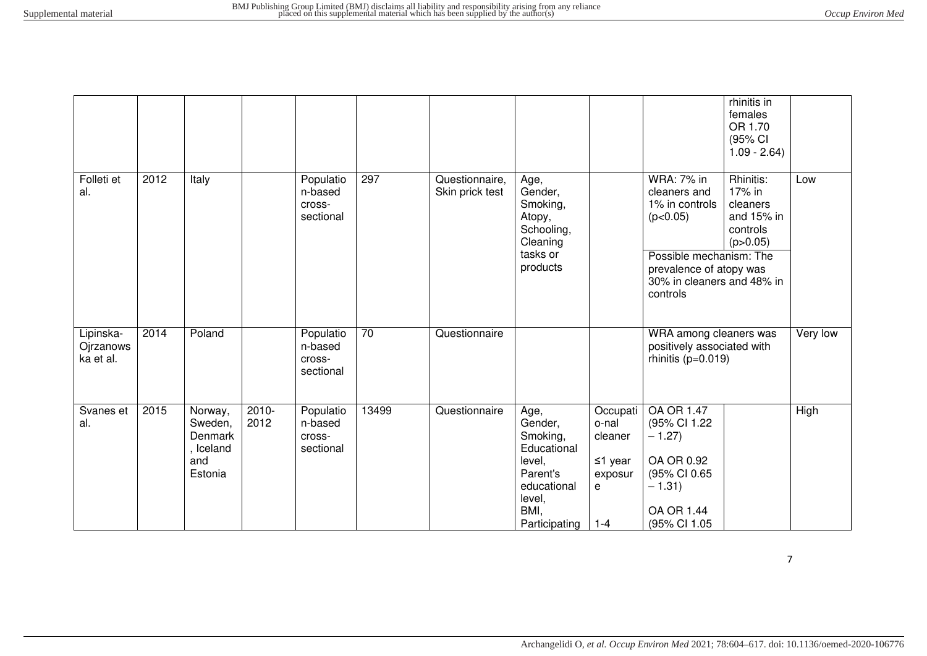|                                     |      |                                                              |                  |                                             |                 |                                   |                                                                                                                    |                                                                      |                                                                                                                      | rhinitis in<br>females<br>OR 1.70<br>(95% CI<br>$1.09 - 2.64$           |          |
|-------------------------------------|------|--------------------------------------------------------------|------------------|---------------------------------------------|-----------------|-----------------------------------|--------------------------------------------------------------------------------------------------------------------|----------------------------------------------------------------------|----------------------------------------------------------------------------------------------------------------------|-------------------------------------------------------------------------|----------|
| Folleti et<br>al.                   | 2012 | Italy                                                        |                  | Populatio<br>n-based<br>cross-<br>sectional | 297             | Questionnaire,<br>Skin prick test | Age,<br>Gender,<br>Smoking,<br>Atopy,<br>Schooling,<br>Cleaning                                                    |                                                                      | <b>WRA: 7% in</b><br>cleaners and<br>1% in controls<br>(p<0.05)                                                      | Rhinitis:<br>17% in<br>cleaners<br>and 15% in<br>controls<br>(p > 0.05) | Low      |
|                                     |      |                                                              |                  |                                             |                 |                                   | tasks or<br>products                                                                                               |                                                                      | Possible mechanism: The<br>prevalence of atopy was<br>30% in cleaners and 48% in<br>controls                         |                                                                         |          |
| Lipinska-<br>Ojrzanows<br>ka et al. | 2014 | Poland                                                       |                  | Populatio<br>n-based<br>cross-<br>sectional | $\overline{70}$ | Questionnaire                     |                                                                                                                    |                                                                      | WRA among cleaners was<br>positively associated with<br>rhinitis ( $p=0.019$ )                                       |                                                                         | Very low |
| Svanes et<br>al.                    | 2015 | Norway,<br>Sweden,<br>Denmark<br>, Iceland<br>and<br>Estonia | $2010 -$<br>2012 | Populatio<br>n-based<br>cross-<br>sectional | 13499           | Questionnaire                     | Age,<br>Gender,<br>Smoking,<br>Educational<br>level,<br>Parent's<br>educational<br>level,<br>BMI,<br>Participating | Occupati<br>o-nal<br>cleaner<br>$≤1$ year<br>exposur<br>e<br>$1 - 4$ | <b>OA OR 1.47</b><br>(95% CI 1.22<br>$-1.27$<br>OA OR 0.92<br>(95% CI 0.65<br>$-1.31)$<br>OA OR 1.44<br>(95% CI 1.05 |                                                                         | High     |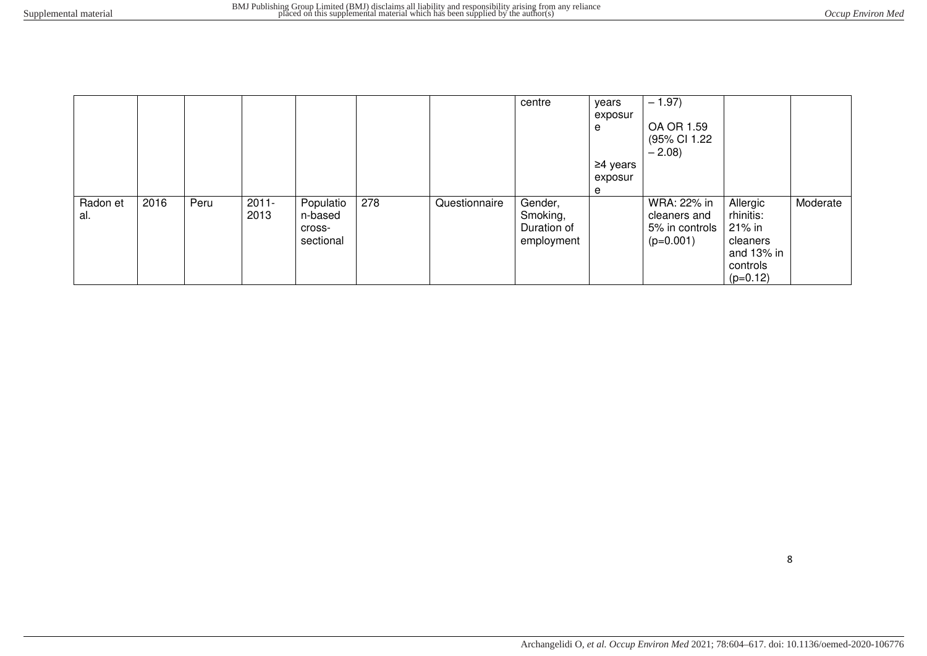|                 |      |      |                  |                                             |     |               | centre                                           | years<br>exposur<br>е    | $-1.97$<br>OA OR 1.59<br>(95% CI 1.22<br>$-2.08$             |                                                                                        |          |
|-----------------|------|------|------------------|---------------------------------------------|-----|---------------|--------------------------------------------------|--------------------------|--------------------------------------------------------------|----------------------------------------------------------------------------------------|----------|
|                 |      |      |                  |                                             |     |               |                                                  | ≥4 years<br>exposur<br>е |                                                              |                                                                                        |          |
| Radon et<br>al. | 2016 | Peru | $2011 -$<br>2013 | Populatio<br>n-based<br>cross-<br>sectional | 278 | Questionnaire | Gender,<br>Smoking,<br>Duration of<br>employment |                          | WRA: 22% in<br>cleaners and<br>5% in controls<br>$(p=0.001)$ | Allergic<br>rhinitis:<br>21% in<br>cleaners<br>and $13\%$ in<br>controls<br>$(p=0.12)$ | Moderate |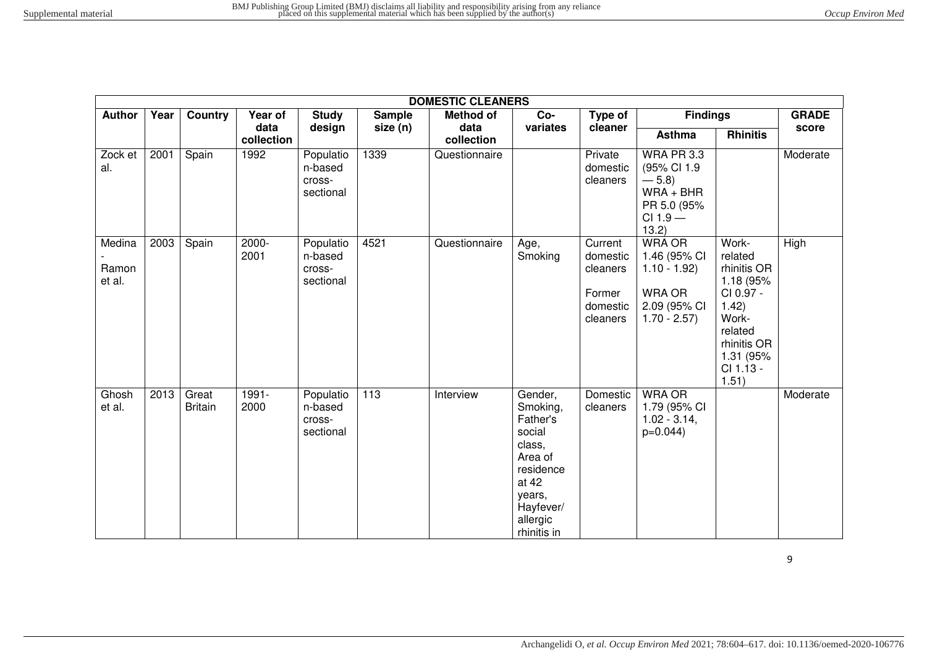|                           |      |                         |                    |                                             |               | <b>DOMESTIC CLEANERS</b> |                                                                                                                                        |                                                                   |                                                                                                  |                                                                                                                                            |              |
|---------------------------|------|-------------------------|--------------------|---------------------------------------------|---------------|--------------------------|----------------------------------------------------------------------------------------------------------------------------------------|-------------------------------------------------------------------|--------------------------------------------------------------------------------------------------|--------------------------------------------------------------------------------------------------------------------------------------------|--------------|
| Author                    | Year | Country                 | Year of            | <b>Study</b>                                | <b>Sample</b> | <b>Method of</b>         | Co-                                                                                                                                    | Type of                                                           | <b>Findings</b>                                                                                  |                                                                                                                                            | <b>GRADE</b> |
|                           |      |                         | data<br>collection | design                                      | size (n)      | data<br>collection       | variates                                                                                                                               | cleaner                                                           | Asthma                                                                                           | <b>Rhinitis</b>                                                                                                                            | score        |
| Zock et<br>al.            | 2001 | Spain                   | 1992               | Populatio<br>n-based<br>cross-<br>sectional | 1339          | Questionnaire            |                                                                                                                                        | Private<br>domestic<br>cleaners                                   | <b>WRA PR 3.3</b><br>(95% CI 1.9<br>$-5.8$<br>$WRA + BHR$<br>PR 5.0 (95%<br>$CI 1.9 -$<br>13.2)  |                                                                                                                                            | Moderate     |
| Medina<br>Ramon<br>et al. | 2003 | Spain                   | 2000-<br>2001      | Populatio<br>n-based<br>cross-<br>sectional | 4521          | Questionnaire            | Age,<br>Smoking                                                                                                                        | Current<br>domestic<br>cleaners<br>Former<br>domestic<br>cleaners | <b>WRA OR</b><br>1.46 (95% CI<br>$1.10 - 1.92$<br><b>WRA OR</b><br>2.09 (95% CI<br>$1.70 - 2.57$ | Work-<br>related<br>rhinitis OR<br>1.18 (95%)<br>CI 0.97 -<br>1.42)<br>Work-<br>related<br>rhinitis OR<br>1.31 (95%)<br>CI 1.13 -<br>1.51) | High         |
| Ghosh<br>et al.           | 2013 | Great<br><b>Britain</b> | $1991 -$<br>2000   | Populatio<br>n-based<br>cross-<br>sectional | 113           | Interview                | Gender,<br>Smoking,<br>Father's<br>social<br>class,<br>Area of<br>residence<br>at 42<br>years,<br>Hayfever/<br>allergic<br>rhinitis in | Domestic<br>cleaners                                              | <b>WRA OR</b><br>1.79 (95% CI<br>$1.02 - 3.14$ ,<br>$p=0.044$                                    |                                                                                                                                            | Moderate     |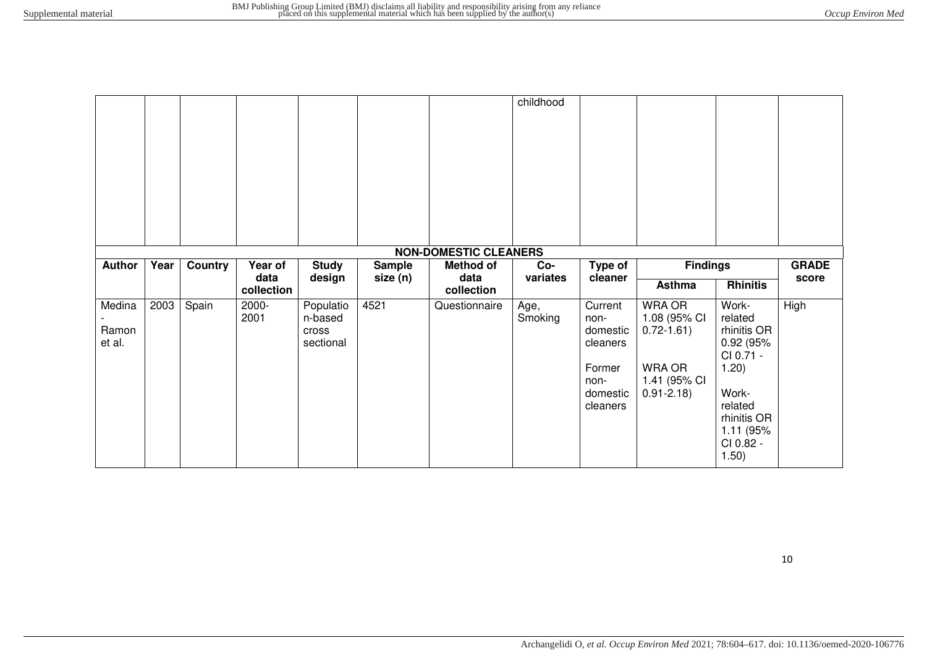|                           |      |         |                    |                                                   |          |                              | childhood       |                                                                                   |                                                                                    |                                                                                                                                          |              |
|---------------------------|------|---------|--------------------|---------------------------------------------------|----------|------------------------------|-----------------|-----------------------------------------------------------------------------------|------------------------------------------------------------------------------------|------------------------------------------------------------------------------------------------------------------------------------------|--------------|
|                           |      |         |                    |                                                   |          | <b>NON-DOMESTIC CLEANERS</b> |                 |                                                                                   |                                                                                    |                                                                                                                                          |              |
| <b>Author</b>             | Year | Country | Year of            | <b>Study</b>                                      | Sample   | <b>Method of</b>             | Co-             | Type of                                                                           | <b>Findings</b>                                                                    |                                                                                                                                          | <b>GRADE</b> |
|                           |      |         | data<br>collection | design                                            | size (n) | data<br>collection           | variates        | cleaner                                                                           | Asthma                                                                             | <b>Rhinitis</b>                                                                                                                          | score        |
| Medina<br>Ramon<br>et al. | 2003 | Spain   | 2000-<br>2001      | Populatio<br>n-based<br><b>Cross</b><br>sectional | 4521     | Questionnaire                | Age,<br>Smoking | Current<br>non-<br>domestic<br>cleaners<br>Former<br>non-<br>domestic<br>cleaners | WRA OR<br>1.08 (95% CI<br>$0.72 - 1.61$<br>WRA OR<br>1.41 (95% CI<br>$0.91 - 2.18$ | Work-<br>related<br>rhinitis OR<br>0.92 (95%<br>CI 0.71 -<br>1.20)<br>Work-<br>related<br>rhinitis OR<br>1.11 (95%<br>CI 0.82 -<br>1.50) | High         |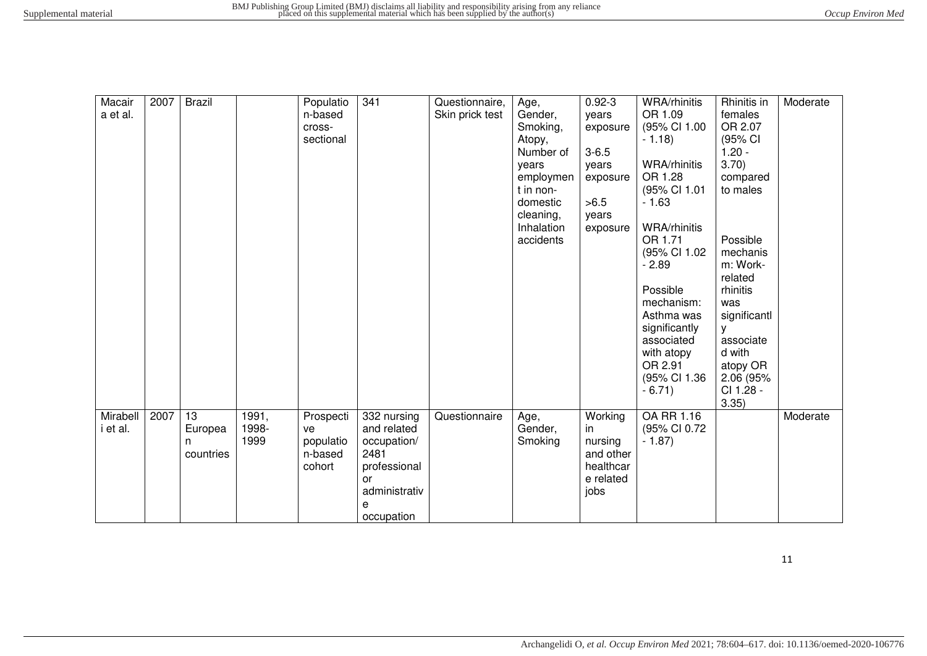| Macair   | 2007 | <b>Brazil</b> |       | Populatio | 341           | Questionnaire,  | Age,       | $0.92 - 3$ | <b>WRA/rhinitis</b> | Rhinitis in  | Moderate |
|----------|------|---------------|-------|-----------|---------------|-----------------|------------|------------|---------------------|--------------|----------|
| a et al. |      |               |       | n-based   |               | Skin prick test | Gender,    | years      | OR 1.09             | females      |          |
|          |      |               |       | cross-    |               |                 | Smoking,   | exposure   | (95% CI 1.00        | OR 2.07      |          |
|          |      |               |       | sectional |               |                 | Atopy,     |            | $-1.18$             | (95% CI      |          |
|          |      |               |       |           |               |                 | Number of  | $3 - 6.5$  |                     | $1.20 -$     |          |
|          |      |               |       |           |               |                 | years      | years      | <b>WRA/rhinitis</b> | 3.70         |          |
|          |      |               |       |           |               |                 | employmen  | exposure   | OR 1.28             | compared     |          |
|          |      |               |       |           |               |                 | t in non-  |            | (95% CI 1.01        | to males     |          |
|          |      |               |       |           |               |                 | domestic   | >6.5       | $-1.63$             |              |          |
|          |      |               |       |           |               |                 | cleaning,  | years      |                     |              |          |
|          |      |               |       |           |               |                 | Inhalation | exposure   | <b>WRA/rhinitis</b> |              |          |
|          |      |               |       |           |               |                 | accidents  |            | OR 1.71             | Possible     |          |
|          |      |               |       |           |               |                 |            |            | (95% CI 1.02        | mechanis     |          |
|          |      |               |       |           |               |                 |            |            | $-2.89$             | m: Work-     |          |
|          |      |               |       |           |               |                 |            |            |                     | related      |          |
|          |      |               |       |           |               |                 |            |            | Possible            | rhinitis     |          |
|          |      |               |       |           |               |                 |            |            | mechanism:          | was          |          |
|          |      |               |       |           |               |                 |            |            | Asthma was          | significantl |          |
|          |      |               |       |           |               |                 |            |            | significantly       | V            |          |
|          |      |               |       |           |               |                 |            |            | associated          | associate    |          |
|          |      |               |       |           |               |                 |            |            | with atopy          | d with       |          |
|          |      |               |       |           |               |                 |            |            | OR 2.91             | atopy OR     |          |
|          |      |               |       |           |               |                 |            |            | (95% CI 1.36        | 2.06 (95%)   |          |
|          |      |               |       |           |               |                 |            |            | $-6.71$             | CI 1.28 -    |          |
|          |      |               |       |           |               |                 |            |            |                     | 3.35)        |          |
| Mirabell | 2007 | 13            | 1991, | Prospecti | 332 nursing   | Questionnaire   | Age,       | Working    | OA RR 1.16          |              | Moderate |
| i et al. |      | Europea       | 1998- | ve        | and related   |                 | Gender,    | in.        | (95% CI 0.72)       |              |          |
|          |      | n             | 1999  | populatio | occupation/   |                 | Smoking    | nursing    | $-1.87$             |              |          |
|          |      | countries     |       | n-based   | 2481          |                 |            | and other  |                     |              |          |
|          |      |               |       | cohort    | professional  |                 |            | healthcar  |                     |              |          |
|          |      |               |       |           | or            |                 |            | e related  |                     |              |          |
|          |      |               |       |           | administrativ |                 |            | jobs       |                     |              |          |
|          |      |               |       |           | е             |                 |            |            |                     |              |          |
|          |      |               |       |           | occupation    |                 |            |            |                     |              |          |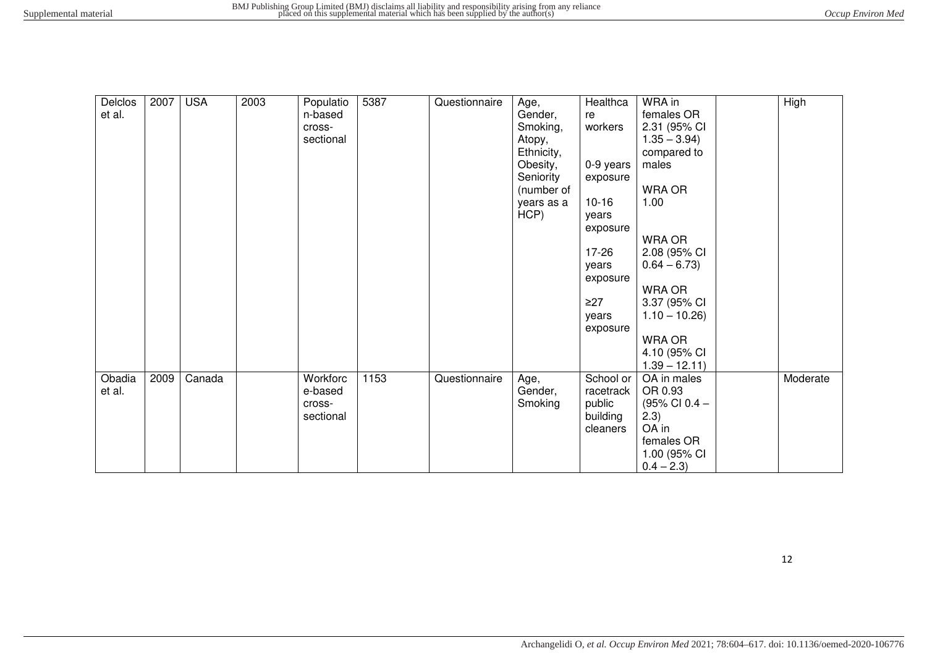| Delclos<br>et al. | 2007 | <b>USA</b> | 2003 | Populatio<br>n-based<br>cross-<br>sectional | 5387 | Questionnaire | Age,<br>Gender,<br>Smoking,<br>Atopy,<br>Ethnicity,<br>Obesity,<br>Seniority<br>(number of<br>years as a<br>HCP) | Healthca<br>re<br>workers<br>0-9 years<br>exposure<br>$10 - 16$<br>years<br>exposure<br>$17-26$<br>years<br>exposure<br>$\geq$ 27<br>years<br>exposure | WRA in<br>females OR<br>2.31 (95% CI<br>$1.35 - 3.94$<br>compared to<br>males<br><b>WRA OR</b><br>1.00<br>WRA OR<br>2.08 (95% CI<br>$0.64 - 6.73$<br>WRA OR<br>3.37 (95% CI<br>$1.10 - 10.26$<br>WRA OR<br>4.10 (95% CI<br>$1.39 - 12.11$ | High     |
|-------------------|------|------------|------|---------------------------------------------|------|---------------|------------------------------------------------------------------------------------------------------------------|--------------------------------------------------------------------------------------------------------------------------------------------------------|-------------------------------------------------------------------------------------------------------------------------------------------------------------------------------------------------------------------------------------------|----------|
| Obadia<br>et al.  | 2009 | Canada     |      | Workforc<br>e-based<br>cross-<br>sectional  | 1153 | Questionnaire | Age,<br>Gender,<br>Smoking                                                                                       | School or<br>racetrack<br>public<br>building<br>cleaners                                                                                               | OA in males<br>OR 0.93<br>(95% CI 0.4 –<br>(2.3)<br>OA in<br>females OR<br>1.00 (95% CI<br>$0.4 - 2.3$                                                                                                                                    | Moderate |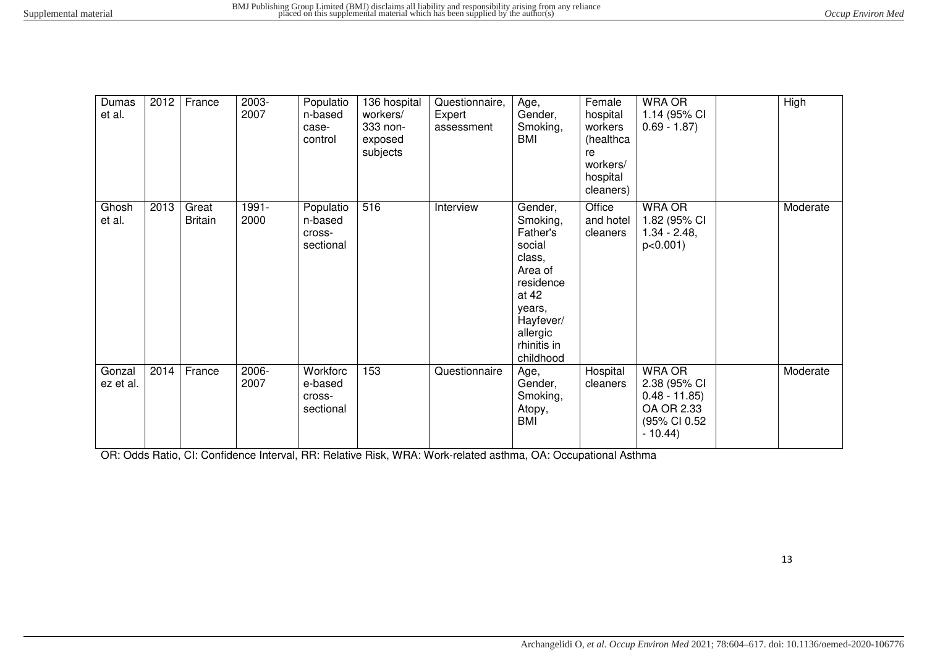| Dumas<br>et al.     | 2012 | France                  | 2003-<br>2007    | Populatio<br>n-based<br>case-<br>control    | 136 hospital<br>workers/<br>333 non-<br>exposed<br>subjects | Questionnaire,<br>Expert<br>assessment | Age,<br>Gender,<br>Smoking,<br><b>BMI</b>                                                                                                           | Female<br>hospital<br>workers<br>(healthca<br>re<br>workers/<br>hospital<br>cleaners) | WRA OR<br>1.14 (95% CI<br>$0.69 - 1.87$                                                   | High     |
|---------------------|------|-------------------------|------------------|---------------------------------------------|-------------------------------------------------------------|----------------------------------------|-----------------------------------------------------------------------------------------------------------------------------------------------------|---------------------------------------------------------------------------------------|-------------------------------------------------------------------------------------------|----------|
| Ghosh<br>et al.     | 2013 | Great<br><b>Britain</b> | $1991 -$<br>2000 | Populatio<br>n-based<br>cross-<br>sectional | 516                                                         | Interview                              | Gender,<br>Smoking,<br>Father's<br>social<br>class,<br>Area of<br>residence<br>at 42<br>years,<br>Hayfever/<br>allergic<br>rhinitis in<br>childhood | Office<br>and hotel<br>cleaners                                                       | <b>WRA OR</b><br>1.82 (95% CI<br>$1.34 - 2.48$ ,<br>$p<0.001$ )                           | Moderate |
| Gonzal<br>ez et al. | 2014 | France                  | 2006-<br>2007    | Workforc<br>e-based<br>cross-<br>sectional  | 153                                                         | Questionnaire                          | Age,<br>Gender,<br>Smoking,<br>Atopy,<br><b>BMI</b>                                                                                                 | Hospital<br>cleaners                                                                  | <b>WRA OR</b><br>2.38 (95% CI<br>$0.48 - 11.85$<br>OA OR 2.33<br>(95% CI 0.52<br>$-10.44$ | Moderate |

OR: Odds Ratio, CI: Confidence Interval, RR: Relative Risk, WRA: Work-related asthma, OA: Occupational Asthma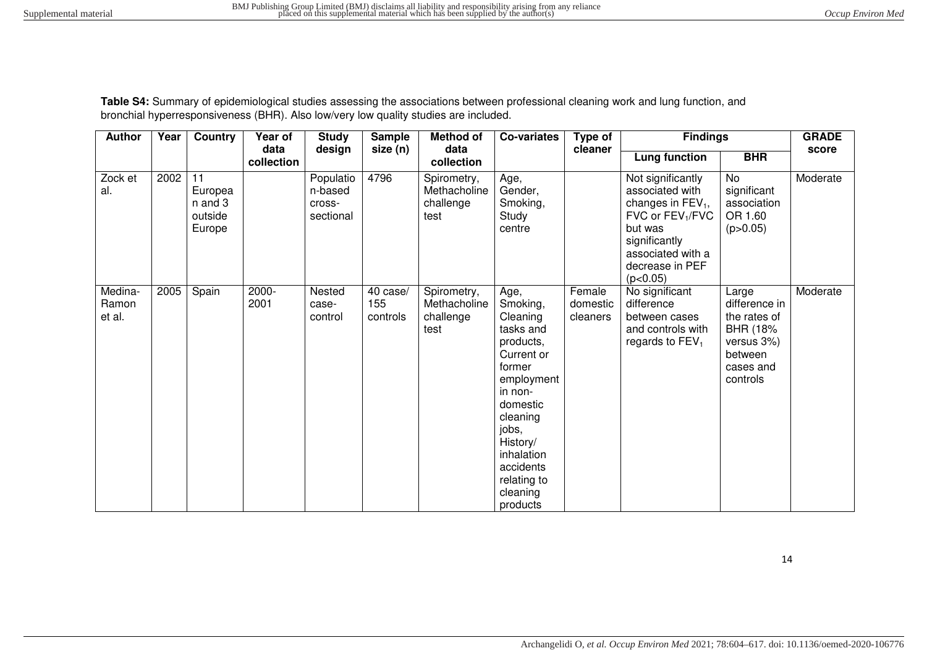| Table S4: Summary of epidemiological studies assessing the associations between professional cleaning work and lung function, and |  |
|-----------------------------------------------------------------------------------------------------------------------------------|--|
| bronchial hyperresponsiveness (BHR). Also low/very low quality studies are included.                                              |  |

| <b>Author</b>              | Year | Country                                       | Year of            | <b>Study</b>                                | Sample                      | Method of                                        | Co-variates                                                                                                                                                                                                            | Type of                        | <b>Findings</b>                                                                                                                                                             |                                                                                                      | <b>GRADE</b> |
|----------------------------|------|-----------------------------------------------|--------------------|---------------------------------------------|-----------------------------|--------------------------------------------------|------------------------------------------------------------------------------------------------------------------------------------------------------------------------------------------------------------------------|--------------------------------|-----------------------------------------------------------------------------------------------------------------------------------------------------------------------------|------------------------------------------------------------------------------------------------------|--------------|
|                            |      |                                               | data<br>collection | design                                      | size (n)                    | data<br>collection                               |                                                                                                                                                                                                                        | cleaner                        | <b>Lung function</b>                                                                                                                                                        | <b>BHR</b>                                                                                           | score        |
| Zock et<br>al.             | 2002 | 11<br>Europea<br>n and 3<br>outside<br>Europe |                    | Populatio<br>n-based<br>cross-<br>sectional | 4796                        | Spirometry,<br>Methacholine<br>challenge<br>test | Age,<br>Gender,<br>Smoking,<br>Study<br>centre                                                                                                                                                                         |                                | Not significantly<br>associated with<br>changes in $FEV1$ ,<br>FVC or FEV <sub>1</sub> /FVC<br>but was<br>significantly<br>associated with a<br>decrease in PEF<br>(p<0.05) | <b>No</b><br>significant<br>association<br>OR 1.60<br>(p > 0.05)                                     | Moderate     |
| Medina-<br>Ramon<br>et al. | 2005 | Spain                                         | 2000-<br>2001      | Nested<br>case-<br>control                  | 40 case/<br>155<br>controls | Spirometry,<br>Methacholine<br>challenge<br>test | Age,<br>Smoking,<br>Cleaning<br>tasks and<br>products,<br>Current or<br>former<br>employment<br>in non-<br>domestic<br>cleaning<br>jobs,<br>History/<br>inhalation<br>accidents<br>relating to<br>cleaning<br>products | Female<br>domestic<br>cleaners | No significant<br>difference<br>between cases<br>and controls with<br>regards to $FEV1$                                                                                     | Large<br>difference in<br>the rates of<br>BHR (18%<br>versus 3%)<br>between<br>cases and<br>controls | Moderate     |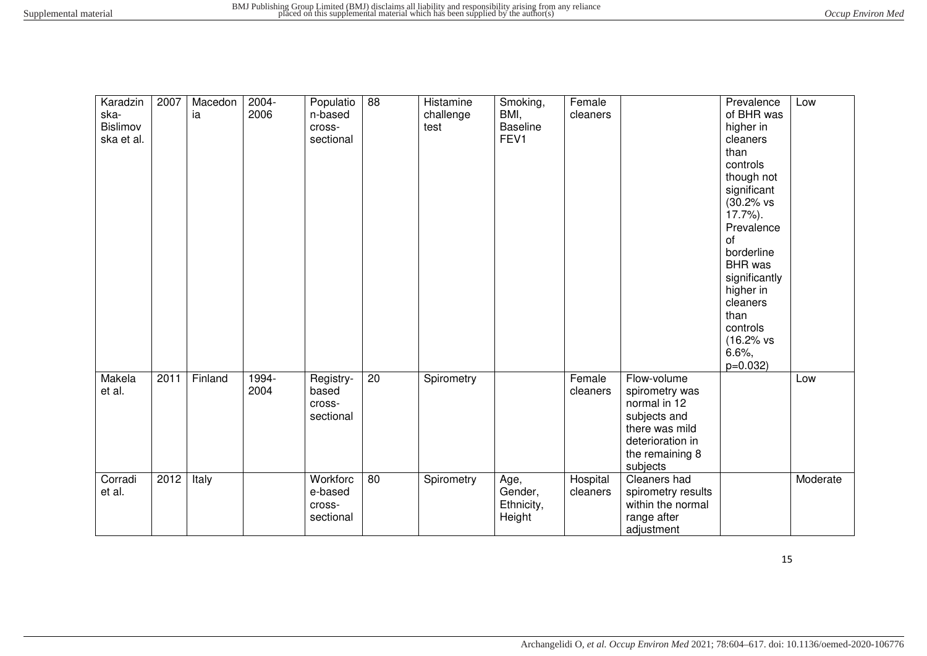| Karadzin<br>ska-<br>Bislimov<br>ska et al. | 2007 | Macedon<br>ia | 2004-<br>2006 | Populatio<br>n-based<br>cross-<br>sectional | 88 | Histamine<br>challenge<br>test | Smoking,<br>BMI,<br><b>Baseline</b><br>FEV1 | Female<br>cleaners   |                                                                                                                                    | Prevalence<br>of BHR was<br>higher in<br>cleaners<br>than<br>controls<br>though not<br>significant<br>(30.2% vs<br>17.7%).<br>Prevalence<br>of<br>borderline<br><b>BHR</b> was<br>significantly<br>higher in<br>cleaners<br>than<br>controls<br>(16.2% vs<br>6.6%<br>$p=0.032$ | Low      |
|--------------------------------------------|------|---------------|---------------|---------------------------------------------|----|--------------------------------|---------------------------------------------|----------------------|------------------------------------------------------------------------------------------------------------------------------------|--------------------------------------------------------------------------------------------------------------------------------------------------------------------------------------------------------------------------------------------------------------------------------|----------|
| Makela<br>et al.                           | 2011 | Finland       | 1994-<br>2004 | Registry-<br>based<br>cross-<br>sectional   | 20 | Spirometry                     |                                             | Female<br>cleaners   | Flow-volume<br>spirometry was<br>normal in 12<br>subjects and<br>there was mild<br>deterioration in<br>the remaining 8<br>subjects |                                                                                                                                                                                                                                                                                | Low      |
| Corradi<br>et al.                          | 2012 | Italy         |               | Workforc<br>e-based<br>cross-<br>sectional  | 80 | Spirometry                     | Age,<br>Gender,<br>Ethnicity,<br>Height     | Hospital<br>cleaners | <b>Cleaners</b> had<br>spirometry results<br>within the normal<br>range after<br>adjustment                                        |                                                                                                                                                                                                                                                                                | Moderate |

15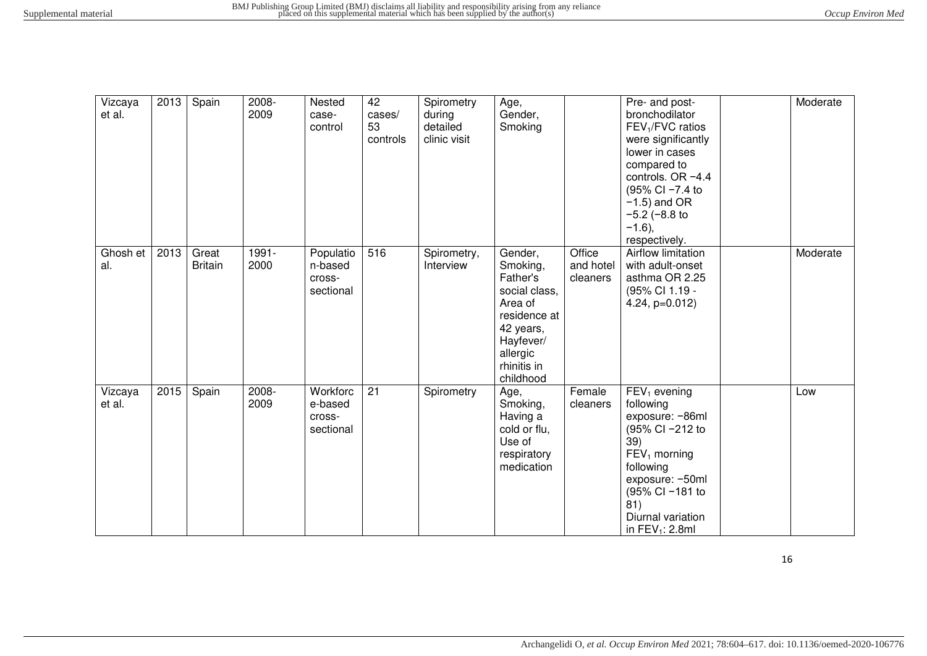| Vizcaya<br>et al. | 2013 | Spain                   | 2008-<br>2009 | Nested<br>case-<br>control                  | 42<br>cases/<br>53<br>controls | Spirometry<br>during<br>detailed<br>clinic visit | Age,<br>Gender,<br>Smoking                                                                                                                    |                                 | Pre- and post-<br>bronchodilator<br>$FEV1/FVC$ ratios<br>were significantly<br>lower in cases<br>compared to<br>controls. OR -4.4<br>(95% CI −7.4 to<br>$-1.5$ ) and OR<br>$-5.2$ ( $-8.8$ to<br>$-1.6$ ),<br>respectively. | Moderate |
|-------------------|------|-------------------------|---------------|---------------------------------------------|--------------------------------|--------------------------------------------------|-----------------------------------------------------------------------------------------------------------------------------------------------|---------------------------------|-----------------------------------------------------------------------------------------------------------------------------------------------------------------------------------------------------------------------------|----------|
| Ghosh et<br>al.   | 2013 | Great<br><b>Britain</b> | 1991-<br>2000 | Populatio<br>n-based<br>cross-<br>sectional | 516                            | Spirometry,<br>Interview                         | Gender,<br>Smoking,<br>Father's<br>social class,<br>Area of<br>residence at<br>42 years,<br>Hayfever/<br>allergic<br>rhinitis in<br>childhood | Office<br>and hotel<br>cleaners | Airflow limitation<br>with adult-onset<br>asthma OR 2.25<br>(95% CI 1.19 -<br>$4.24$ , $p=0.012$ )                                                                                                                          | Moderate |
| Vizcaya<br>et al. | 2015 | Spain                   | 2008-<br>2009 | Workforc<br>e-based<br>cross-<br>sectional  | 21                             | Spirometry                                       | Age,<br>Smoking,<br>Having a<br>cold or flu,<br>Use of<br>respiratory<br>medication                                                           | Female<br>cleaners              | $FEV1$ evening<br>following<br>exposure: -86ml<br>(95% CI-212 to<br>39)<br>$FEV1$ morning<br>following<br>exposure: -50ml<br>(95% CI-181 to<br>81)<br>Diurnal variation<br>in $FEV1$ : 2.8ml                                | Low      |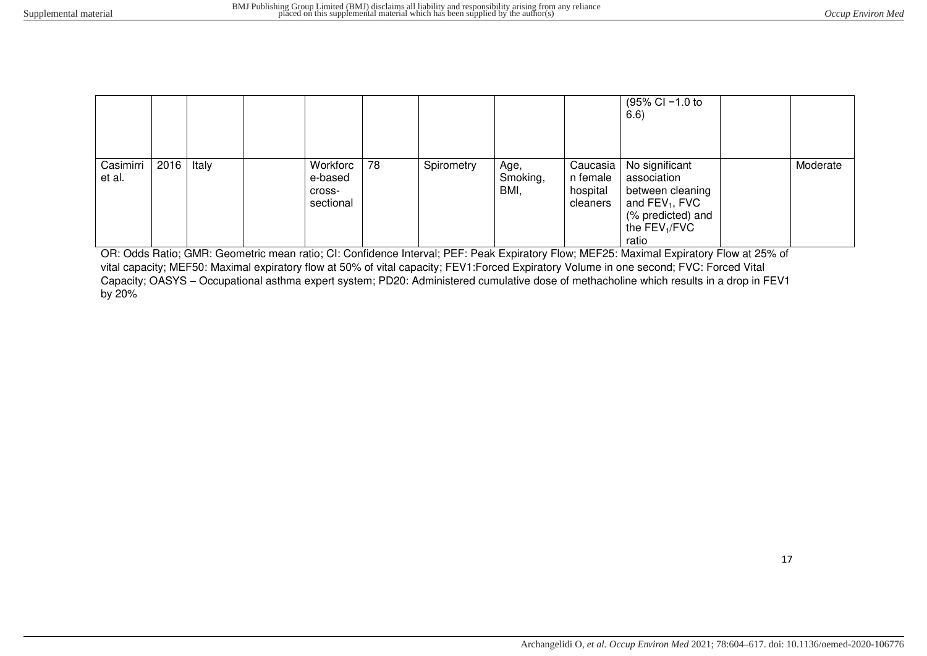|                     |      |       |                                            |    |            |                          |                                              | (95% CI −1.0 to<br>6.6)                                                                                                  |          |
|---------------------|------|-------|--------------------------------------------|----|------------|--------------------------|----------------------------------------------|--------------------------------------------------------------------------------------------------------------------------|----------|
| Casimirri<br>et al. | 2016 | Italy | Workforc<br>e-based<br>cross-<br>sectional | 78 | Spirometry | Age,<br>Smoking,<br>BMI, | Caucasia<br>n female<br>hospital<br>cleaners | No significant<br>association<br>between cleaning<br>and $FEV_1$ , $FVC$<br>(% predicted) and<br>the $FEV1/FVC$<br>ratio | Moderate |

OR: Odds Ratio; GMR: Geometric mean ratio; CI: Confidence Interval; PEF: Peak Expiratory Flow; MEF25: Maximal Expiratory Flow at 25% of vital capacity; MEF50: Maximal expiratory flow at 50% of vital capacity; FEV1:Forced Expiratory Volume in one second; FVC: Forced Vital Capacity; OASYS – Occupational asthma expert system; PD20: Administered cumulative dose of methacholine which results in a drop in FEV1 by 20%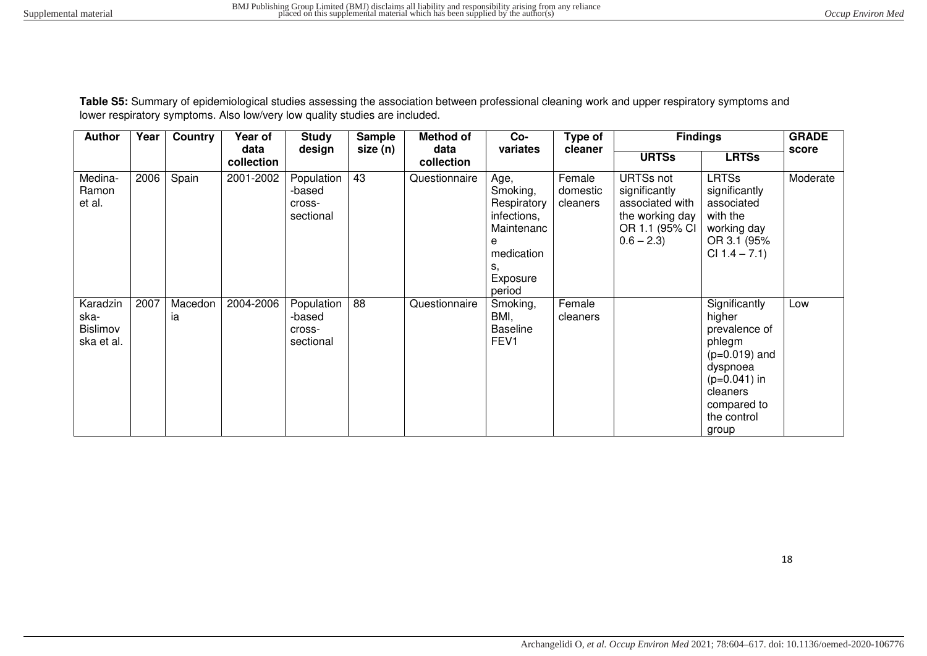| <b>Author</b>                              | Year | Country       | <b>Year of</b><br>data | <b>Study</b><br>design                      | <b>Sample</b><br>size (n) | <b>Method of</b><br>data | Co-<br>variates                                                                                             | <b>Type of</b><br>cleaner      | <b>Findings</b>                                                                                          |                                                                                                                                                        | <b>GRADE</b><br>score |
|--------------------------------------------|------|---------------|------------------------|---------------------------------------------|---------------------------|--------------------------|-------------------------------------------------------------------------------------------------------------|--------------------------------|----------------------------------------------------------------------------------------------------------|--------------------------------------------------------------------------------------------------------------------------------------------------------|-----------------------|
|                                            |      |               | collection             |                                             |                           | collection               |                                                                                                             |                                | <b>URTSs</b>                                                                                             | <b>LRTSs</b>                                                                                                                                           |                       |
| Medina-<br>Ramon<br>et al.                 | 2006 | Spain         | 2001-2002              | Population<br>-based<br>cross-<br>sectional | 43                        | Questionnaire            | Age,<br>Smoking,<br>Respiratory<br>infections,<br>Maintenanc<br>е<br>medication<br>s,<br>Exposure<br>period | Female<br>domestic<br>cleaners | <b>URTSs not</b><br>significantly<br>associated with<br>the working day<br>OR 1.1 (95% CI<br>$0.6 - 2.3$ | <b>LRTSs</b><br>significantly<br>associated<br>with the<br>working day<br>OR 3.1 (95%<br>$CI 1.4 - 7.1$                                                | Moderate              |
| Karadzin<br>ska-<br>Bislimov<br>ska et al. | 2007 | Macedon<br>ia | 2004-2006              | Population<br>-based<br>cross-<br>sectional | 88                        | Questionnaire            | Smoking,<br>BMI,<br><b>Baseline</b><br>FEV1                                                                 | Female<br>cleaners             |                                                                                                          | Significantly<br>higher<br>prevalence of<br>phlegm<br>$(p=0.019)$ and<br>dyspnoea<br>$(p=0.041)$ in<br>cleaners<br>compared to<br>the control<br>group | Low                   |

**Table S5:** Summary of epidemiological studies assessing the association between professional cleaning work and upper respiratory symptoms and lower respiratory symptoms. Also low/very low quality studies are included.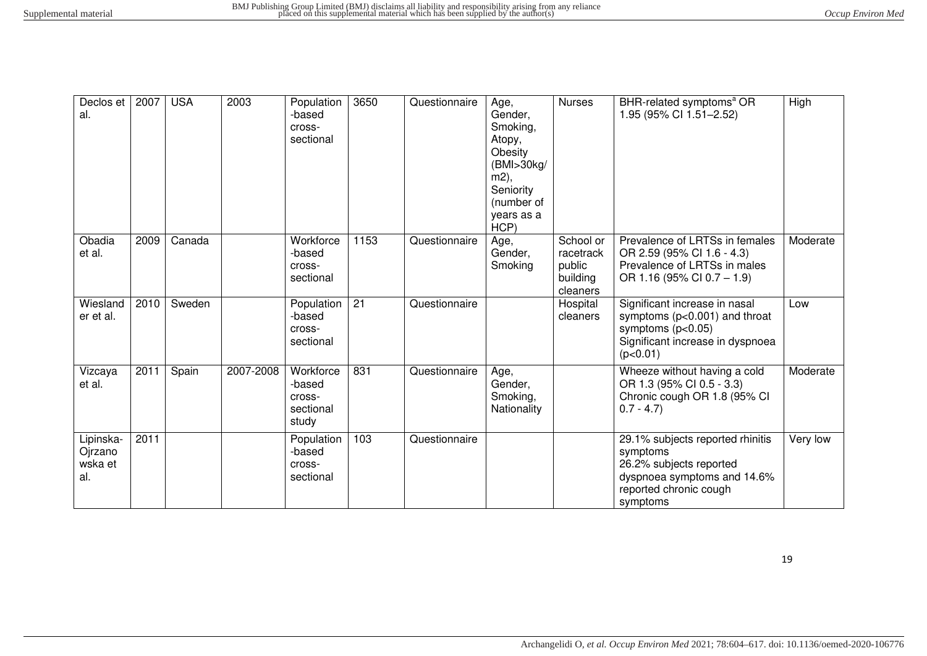| Declos et<br>al.                       | 2007 | <b>USA</b> | 2003      | Population<br>-based<br>cross-<br>sectional         | 3650            | Questionnaire | Age,<br>Gender,<br>Smoking,<br>Atopy,<br>Obesity<br>(BMI>30kg/<br>m2),<br>Seniority<br>(number of<br>years as a<br>HCP) | <b>Nurses</b>                                            | BHR-related symptoms <sup>a</sup> OR<br>1.95 (95% CI 1.51-2.52)                                                                              | High     |
|----------------------------------------|------|------------|-----------|-----------------------------------------------------|-----------------|---------------|-------------------------------------------------------------------------------------------------------------------------|----------------------------------------------------------|----------------------------------------------------------------------------------------------------------------------------------------------|----------|
| Obadia<br>et al.                       | 2009 | Canada     |           | Workforce<br>-based<br>cross-<br>sectional          | 1153            | Questionnaire | Age,<br>Gender,<br>Smoking                                                                                              | School or<br>racetrack<br>public<br>building<br>cleaners | Prevalence of LRTSs in females<br>OR 2.59 (95% CI 1.6 - 4.3)<br>Prevalence of LRTSs in males<br>OR 1.16 (95% CI 0.7 - 1.9)                   | Moderate |
| Wiesland<br>er et al.                  | 2010 | Sweden     |           | Population<br>-based<br>cross-<br>sectional         | $\overline{21}$ | Questionnaire |                                                                                                                         | Hospital<br>cleaners                                     | Significant increase in nasal<br>symptoms $(p<0.001)$ and throat<br>symptoms $(p<0.05)$<br>Significant increase in dyspnoea<br>(p<0.01)      | Low      |
| Vizcaya<br>et al.                      | 2011 | Spain      | 2007-2008 | Workforce<br>-based<br>cross-<br>sectional<br>study | 831             | Questionnaire | Age,<br>Gender,<br>Smoking,<br>Nationality                                                                              |                                                          | Wheeze without having a cold<br>OR 1.3 (95% CI 0.5 - 3.3)<br>Chronic cough OR 1.8 (95% CI<br>$0.7 - 4.7$                                     | Moderate |
| Lipinska-<br>Ojrzano<br>wska et<br>al. | 2011 |            |           | Population<br>-based<br>cross-<br>sectional         | 103             | Questionnaire |                                                                                                                         |                                                          | 29.1% subjects reported rhinitis<br>symptoms<br>26.2% subjects reported<br>dyspnoea symptoms and 14.6%<br>reported chronic cough<br>symptoms | Very low |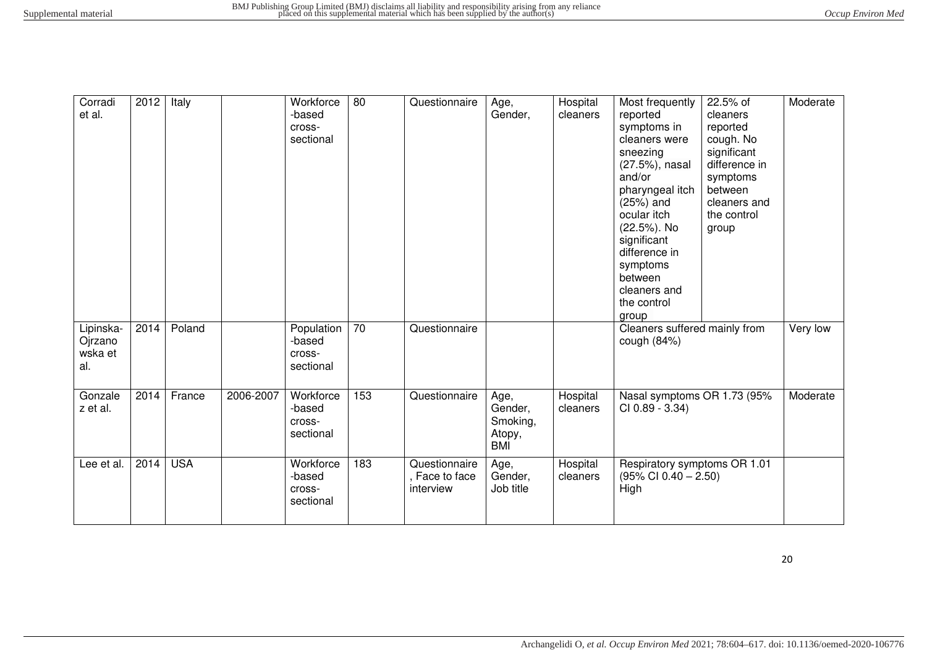| Corradi<br>et al.                      | 2012 | Italy      |           | Workforce<br>-based<br>cross-<br>sectional  | $\overline{80}$ | Questionnaire                              | Age,<br>Gender,                                     | Hospital<br>cleaners | Most frequently<br>reported<br>symptoms in<br>cleaners were<br>sneezing<br>(27.5%), nasal<br>and/or<br>pharyngeal itch<br>$(25%)$ and<br>ocular itch<br>(22.5%). No<br>significant<br>difference in<br>symptoms<br>between<br>cleaners and<br>the control<br>group | 22.5% of<br>cleaners<br>reported<br>cough. No<br>significant<br>difference in<br>symptoms<br>between<br>cleaners and<br>the control<br>group | Moderate |
|----------------------------------------|------|------------|-----------|---------------------------------------------|-----------------|--------------------------------------------|-----------------------------------------------------|----------------------|--------------------------------------------------------------------------------------------------------------------------------------------------------------------------------------------------------------------------------------------------------------------|----------------------------------------------------------------------------------------------------------------------------------------------|----------|
| Lipinska-<br>Ojrzano<br>wska et<br>al. | 2014 | Poland     |           | Population<br>-based<br>cross-<br>sectional | $\overline{70}$ | Questionnaire                              |                                                     |                      | Cleaners suffered mainly from<br>cough (84%)                                                                                                                                                                                                                       |                                                                                                                                              | Very low |
| Gonzale<br>z et al.                    | 2014 | France     | 2006-2007 | Workforce<br>-based<br>cross-<br>sectional  | 153             | Questionnaire                              | Age,<br>Gender,<br>Smoking,<br>Atopy,<br><b>BMI</b> | Hospital<br>cleaners | Nasal symptoms OR 1.73 (95%<br>CI 0.89 - 3.34)                                                                                                                                                                                                                     |                                                                                                                                              | Moderate |
| Lee et al.                             | 2014 | <b>USA</b> |           | Workforce<br>-based<br>cross-<br>sectional  | 183             | Questionnaire<br>Face to face<br>interview | Age,<br>Gender,<br>Job title                        | Hospital<br>cleaners | Respiratory symptoms OR 1.01<br>$(95\% \text{ CI } 0.40 - 2.50)$<br>High                                                                                                                                                                                           |                                                                                                                                              |          |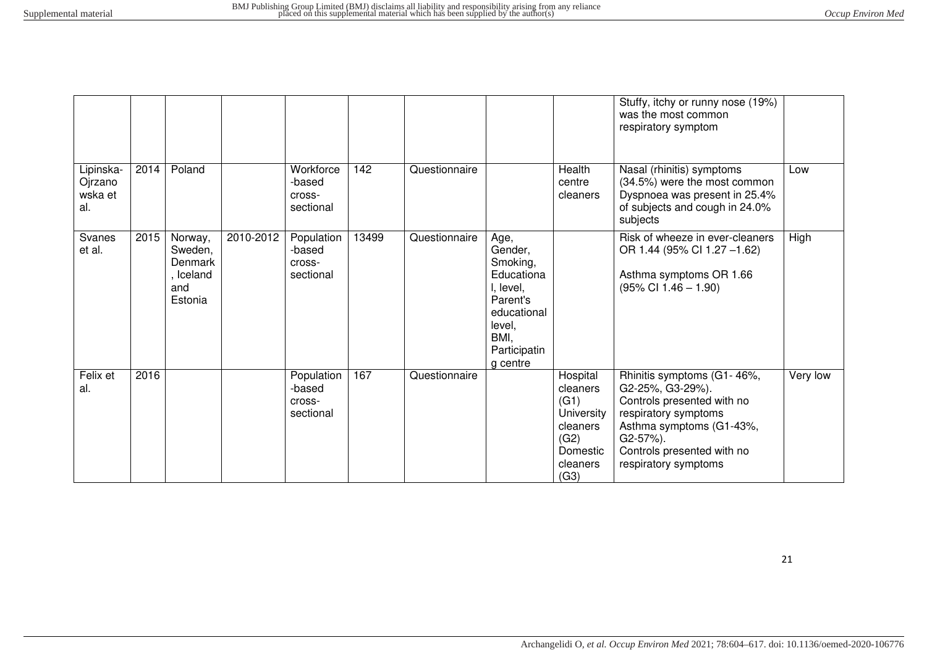|                                        |      |                                                            |           |                                             |       |               |                                                                                                                                 |                                                                                                | Stuffy, itchy or runny nose (19%)<br>was the most common<br>respiratory symptom                                                                                                                    |          |
|----------------------------------------|------|------------------------------------------------------------|-----------|---------------------------------------------|-------|---------------|---------------------------------------------------------------------------------------------------------------------------------|------------------------------------------------------------------------------------------------|----------------------------------------------------------------------------------------------------------------------------------------------------------------------------------------------------|----------|
| Lipinska-<br>Ojrzano<br>wska et<br>al. | 2014 | Poland                                                     |           | Workforce<br>-based<br>cross-<br>sectional  | 142   | Questionnaire |                                                                                                                                 | Health<br>centre<br>cleaners                                                                   | Nasal (rhinitis) symptoms<br>(34.5%) were the most common<br>Dyspnoea was present in 25.4%<br>of subjects and cough in 24.0%<br>subjects                                                           | Low      |
| Svanes<br>et al.                       | 2015 | Norway,<br>Sweden,<br>Denmark<br>Iceland<br>and<br>Estonia | 2010-2012 | Population<br>-based<br>cross-<br>sectional | 13499 | Questionnaire | Age,<br>Gender,<br>Smoking,<br>Educationa<br>I, level,<br>Parent's<br>educational<br>level,<br>BMI,<br>Participatin<br>g centre |                                                                                                | Risk of wheeze in ever-cleaners<br>OR 1.44 (95% CI 1.27 -1.62)<br>Asthma symptoms OR 1.66<br>$(95\% \text{ CI} 1.46 - 1.90)$                                                                       | High     |
| Felix et<br>al.                        | 2016 |                                                            |           | Population<br>-based<br>cross-<br>sectional | 167   | Questionnaire |                                                                                                                                 | Hospital<br>cleaners<br>(G1)<br>University<br>cleaners<br>(G2)<br>Domestic<br>cleaners<br>(G3) | Rhinitis symptoms (G1-46%,<br>G2-25%, G3-29%).<br>Controls presented with no<br>respiratory symptoms<br>Asthma symptoms (G1-43%,<br>G2-57%).<br>Controls presented with no<br>respiratory symptoms | Very low |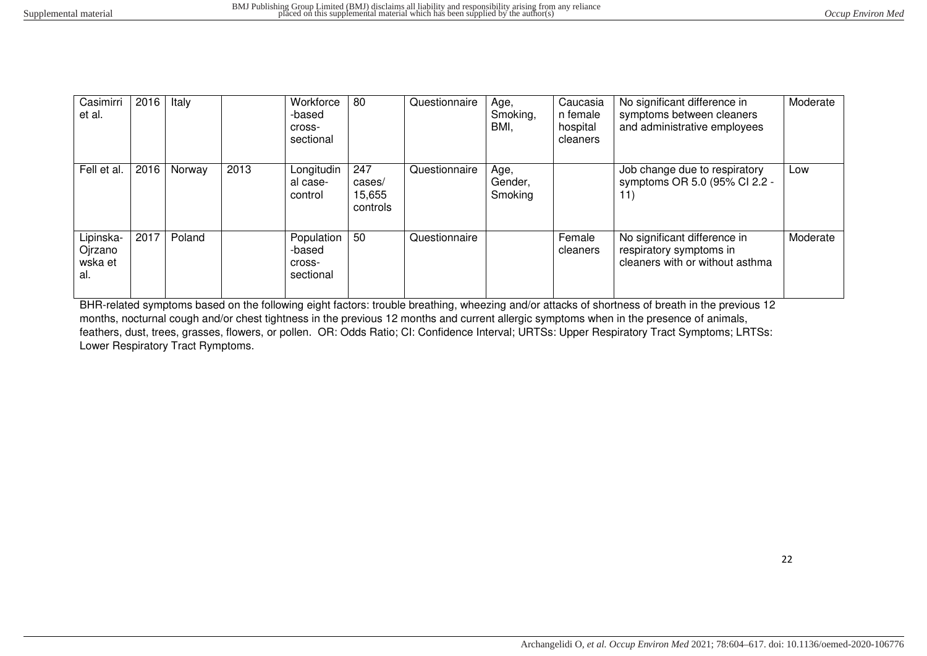| Casimirri<br>et al.                    | 2016 | Italy  |      | Workforce<br>-based<br>cross-<br>sectional  | 80                                  | Questionnaire | Age,<br>Smoking,<br>BMI,   | Caucasia<br>n female<br>hospital<br>cleaners | No significant difference in<br>symptoms between cleaners<br>and administrative employees  | Moderate |
|----------------------------------------|------|--------|------|---------------------------------------------|-------------------------------------|---------------|----------------------------|----------------------------------------------|--------------------------------------------------------------------------------------------|----------|
| Fell et al.                            | 2016 | Norway | 2013 | Longitudin<br>al case-<br>control           | 247<br>cases/<br>15,655<br>controls | Questionnaire | Age,<br>Gender,<br>Smoking |                                              | Job change due to respiratory<br>symptoms OR 5.0 (95% CI 2.2 -<br>11)                      | Low      |
| Lipinska-<br>Ojrzano<br>wska et<br>al. | 2017 | Poland |      | Population<br>-based<br>cross-<br>sectional | 50                                  | Questionnaire |                            | Female<br>cleaners                           | No significant difference in<br>respiratory symptoms in<br>cleaners with or without asthma | Moderate |

BHR-related symptoms based on the following eight factors: trouble breathing, wheezing and/or attacks of shortness of breath in the previous 12 months, nocturnal cough and/or chest tightness in the previous 12 months and current allergic symptoms when in the presence of animals, feathers, dust, trees, grasses, flowers, or pollen. OR: Odds Ratio; CI: Confidence Interval; URTSs: Upper Respiratory Tract Symptoms; LRTSs: Lower Respiratory Tract Rymptoms.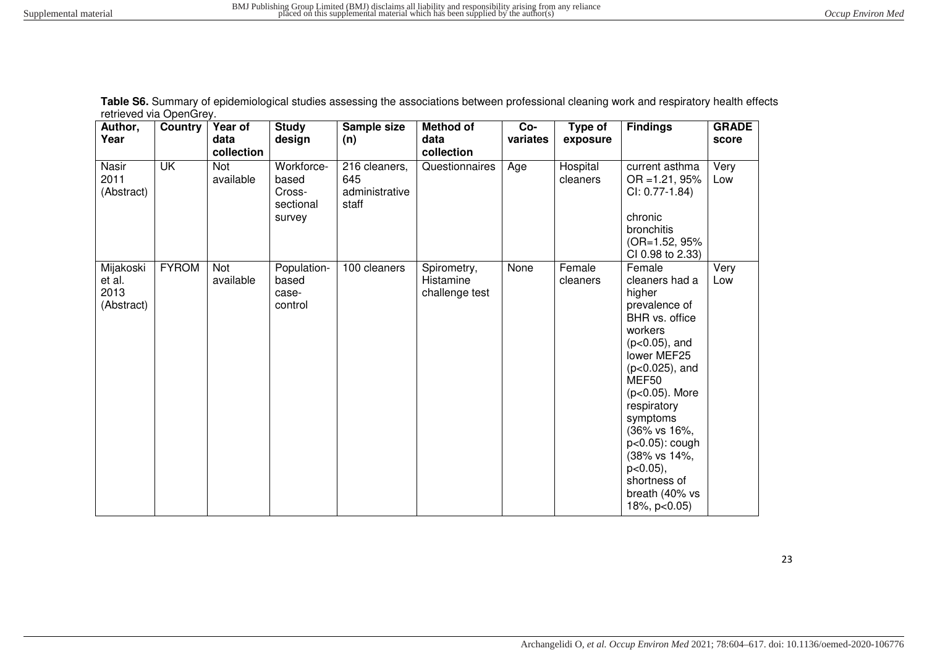| Author,<br>Year                           | <b>Country</b>           | Year of<br>data<br>collection | <b>Study</b><br>design                               | Sample size<br>(n)                              | <b>Method of</b><br>data<br>collection     | Co-<br>variates | Type of<br>exposure  | <b>Findings</b>                                                                                                                                                                                                                                                                                                  | <b>GRADE</b><br>score |
|-------------------------------------------|--------------------------|-------------------------------|------------------------------------------------------|-------------------------------------------------|--------------------------------------------|-----------------|----------------------|------------------------------------------------------------------------------------------------------------------------------------------------------------------------------------------------------------------------------------------------------------------------------------------------------------------|-----------------------|
| Nasir<br>2011<br>(Abstract)               | $\overline{\mathsf{UK}}$ | Not<br>available              | Workforce-<br>based<br>Cross-<br>sectional<br>survey | 216 cleaners,<br>645<br>administrative<br>staff | Questionnaires                             | Age             | Hospital<br>cleaners | current asthma<br>$OR = 1.21, 95%$<br>$Cl: 0.77 - 1.84$<br>chronic<br>bronchitis<br>(OR=1.52, 95%<br>CI 0.98 to 2.33)                                                                                                                                                                                            | Very<br>Low           |
| Mijakoski<br>et al.<br>2013<br>(Abstract) | <b>FYROM</b>             | Not<br>available              | Population-<br>based<br>case-<br>control             | 100 cleaners                                    | Spirometry,<br>Histamine<br>challenge test | None            | Female<br>cleaners   | Female<br>cleaners had a<br>higher<br>prevalence of<br>BHR vs. office<br>workers<br>(p<0.05), and<br>lower MEF25<br>$(p<0.025)$ , and<br>MEF50<br>(p<0.05). More<br>respiratory<br>symptoms<br>(36% vs 16%,<br>$p<0.05$ : cough<br>(38% vs 14%,<br>$p<0.05$ ),<br>shortness of<br>breath (40% vs<br>18%, p<0.05) | Very<br>Low           |

**Table S6.** Summary of epidemiological studies assessing the associations between professional cleaning work and respiratory health effects retrieved via OpenGrey.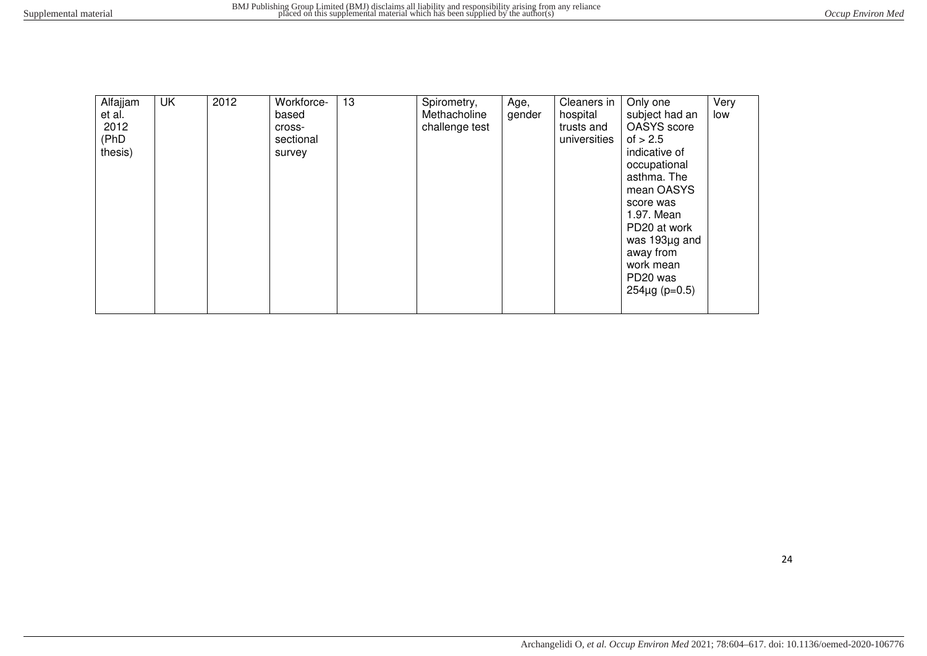| Alfajjam<br>et al.<br>2012<br>(PhD)<br>thesis) | UK | 2012 | Workforce-<br>based<br>cross-<br>sectional<br>survey | 13 | Spirometry,<br>Methacholine<br>challenge test | Age,<br>gender | Cleaners in<br>hospital<br>trusts and<br>universities | Only one<br>subject had an<br><b>OASYS</b> score<br>of > 2.5<br>indicative of<br>occupational                                                     | Very<br>low |
|------------------------------------------------|----|------|------------------------------------------------------|----|-----------------------------------------------|----------------|-------------------------------------------------------|---------------------------------------------------------------------------------------------------------------------------------------------------|-------------|
|                                                |    |      |                                                      |    |                                               |                |                                                       | asthma. The<br>mean OASYS<br>score was<br>1.97. Mean<br>PD20 at work<br>was 193µg and<br>away from<br>work mean<br>PD20 was<br>$254\mu$ g (p=0.5) |             |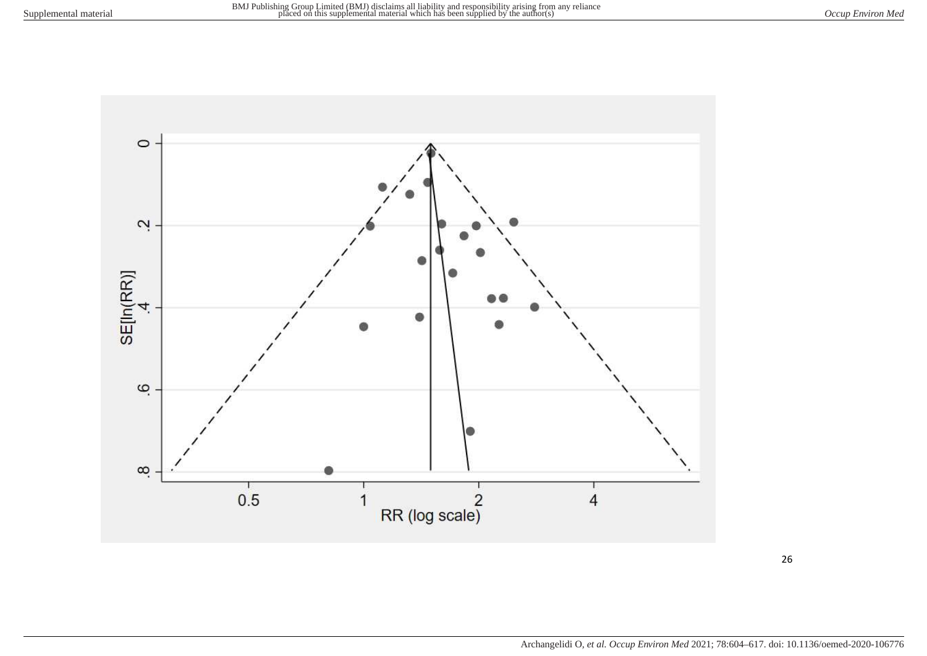

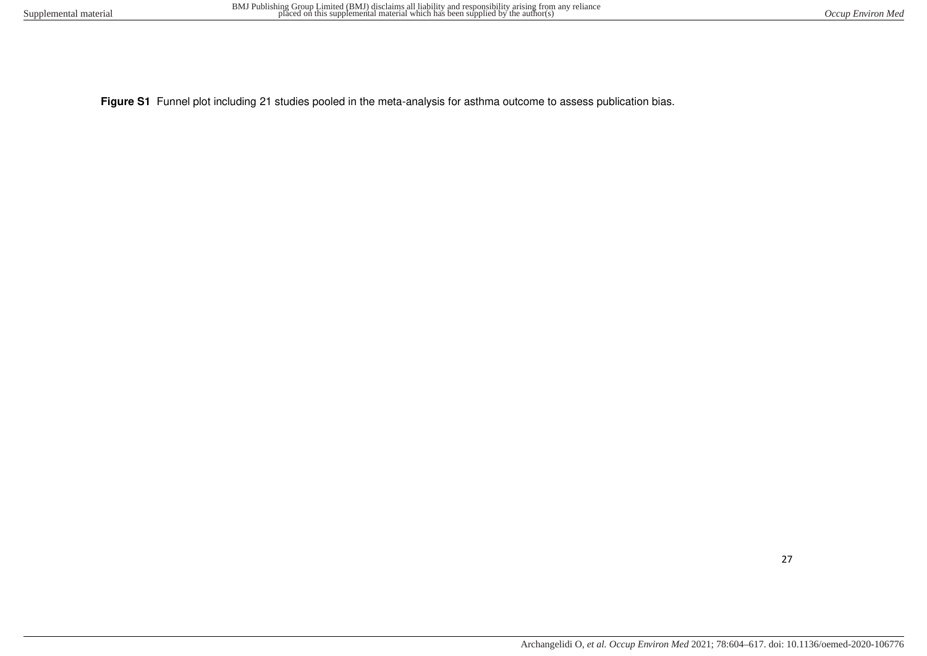**Figure S1** Funnel plot including 21 studies pooled in the meta-analysis for asthma outcome to assess publication bias.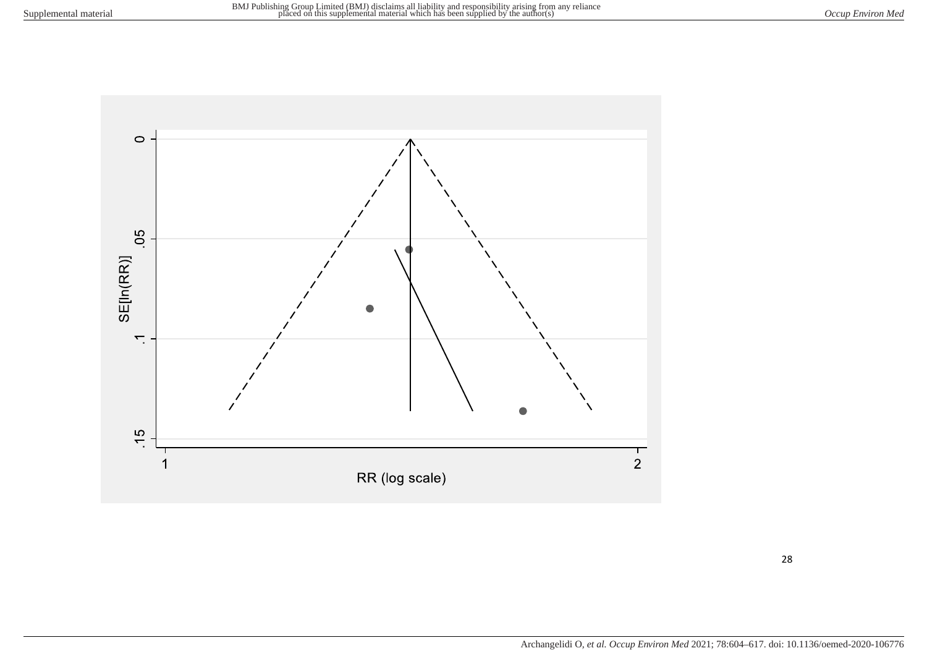